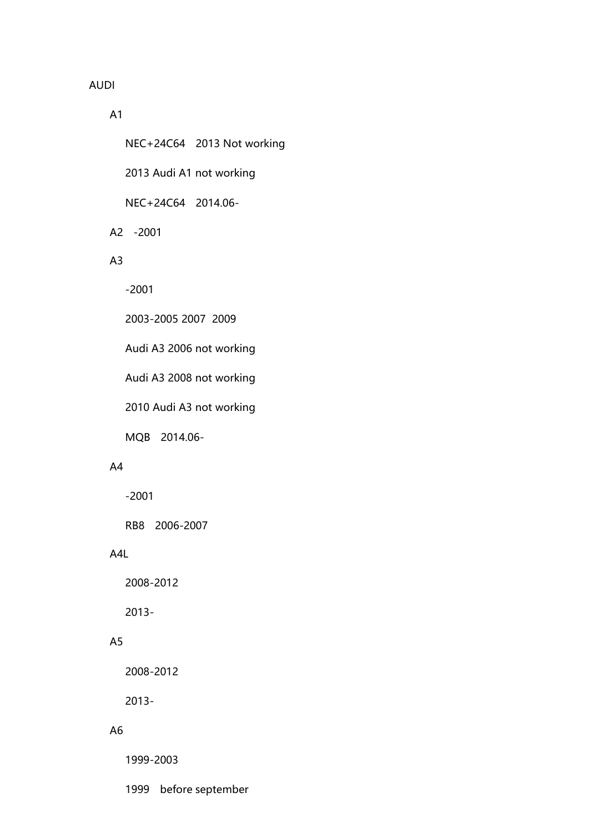### AUDI

#### A1

NEC+24C64 2013 Not working

2013 Audi A1 not working

NEC+24C64 2014.06-

A2 -2001

# A3

-2001

2003-2005 2007 2009

Audi A3 2006 not working

Audi A3 2008 not working

2010 Audi A3 not working

MQB 2014.06-

# A4

-2001

RB8 2006-2007

#### A4L

2008-2012

2013-

### A5

2008-2012

2013-

#### A6

1999-2003

1999 before september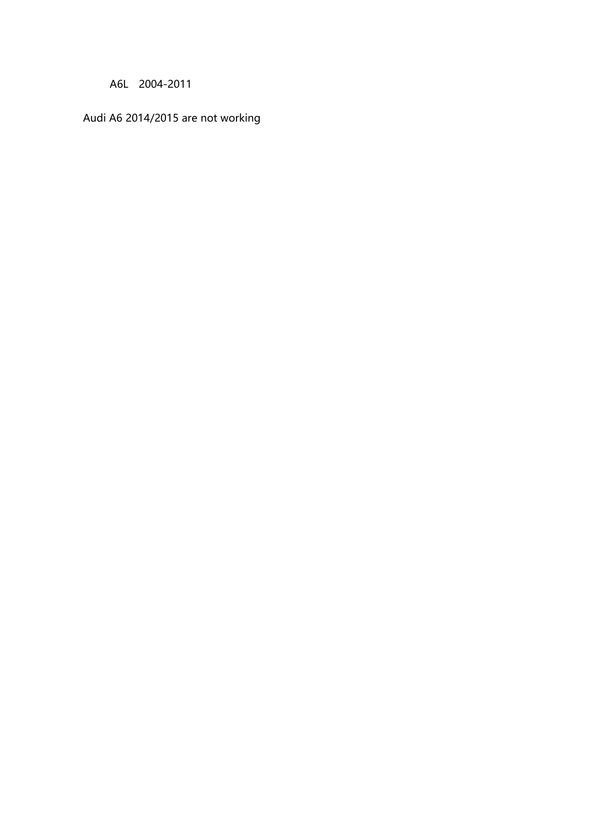A6L 2004-2011

Audi A6 2014/2015 are not working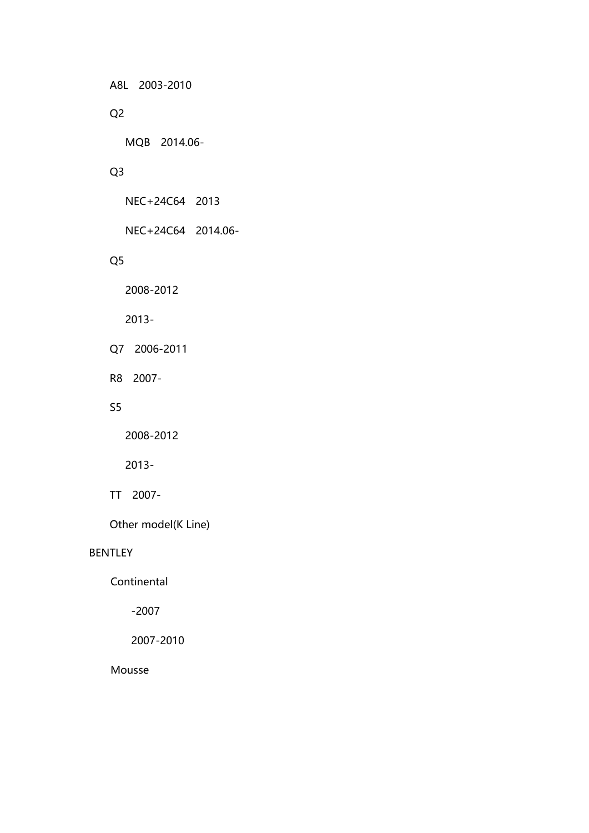A8L 2003-2010

# Q2

MQB 2014.06-

# Q3

NEC+24C64 2013

NEC+24C64 2014.06-

# Q5

2008-2012

2013-

Q7 2006-2011

R8 2007-

### S5

2008-2012

2013-

TT 2007-

Other model(K Line)

#### BENTLEY

**Continental** 

-2007

2007-2010

Mousse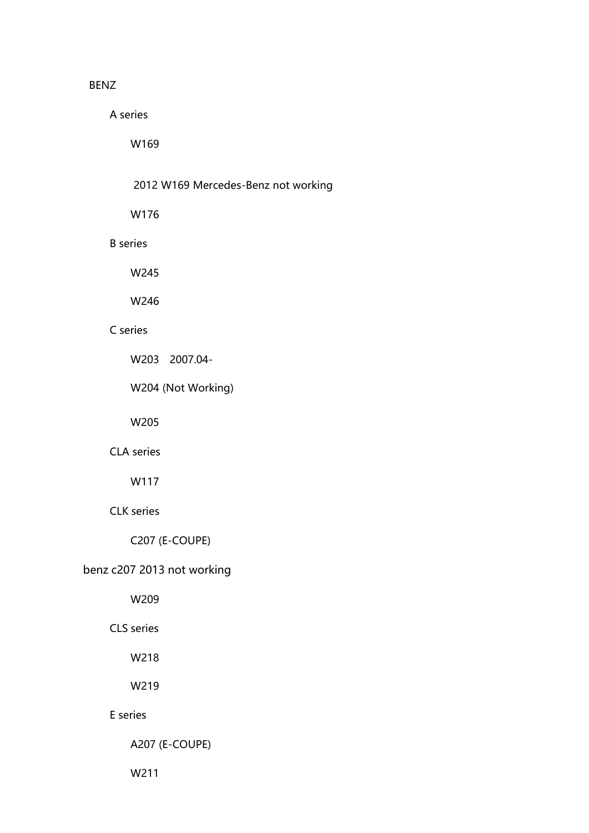### BENZ

A series

W169

| 2012 W169 Mercedes-Benz not working |  |
|-------------------------------------|--|
|                                     |  |

W176

#### B series

W245

W246

# C series

W203 2007.04-

W204 (Not Working)

W205

# CLA series

W117

# CLK series

C207 (E-COUPE)

# benz c207 2013 not working

W209

CLS series

W218

W219

### E series

A207 (E-COUPE)

W211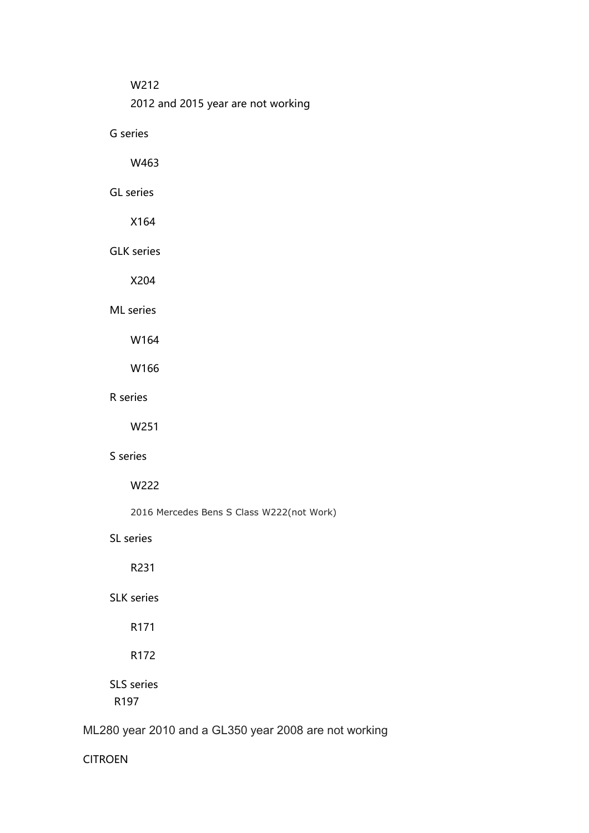#### W212

2012 and 2015 year are not working

G series

W463

# GL series

X164

GLK series

X204

ML series

W164

W166

# R series

W251

#### S series

W222

2016 Mercedes Bens S Class W222(not Work)

SL series

R231

# SLK series

R171

### R172

SLS series R197

# ML280 year 2010 and a GL350 year 2008 are not working

CITROEN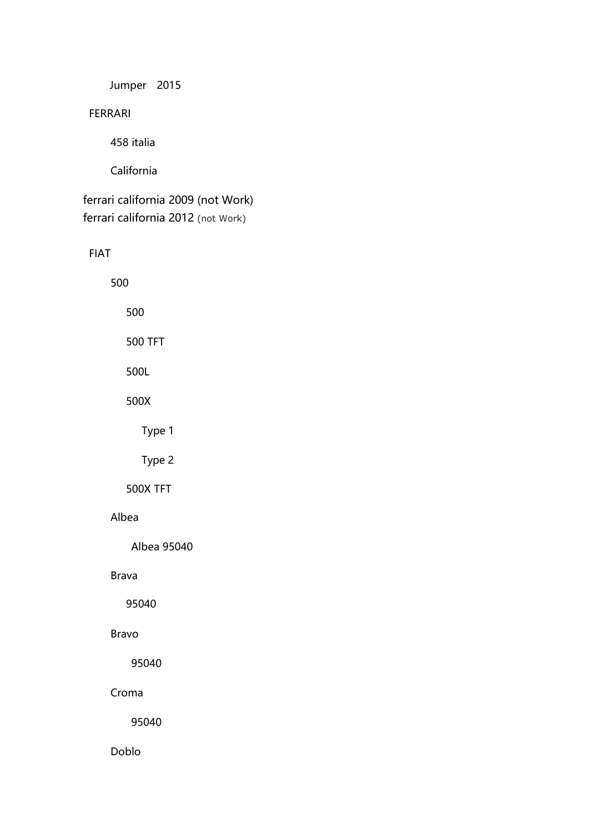Jumper 2015

FERRARI

458 italia

California

ferrari california 2009 (not Work) ferrari california 2012 (not Work)

FIAT

500

500

500 TFT

500L

500X

Type 1

Type 2

500X TFT

### Albea

Albea 95040

Brava

95040

Bravo

95040

Croma

95040

Doblo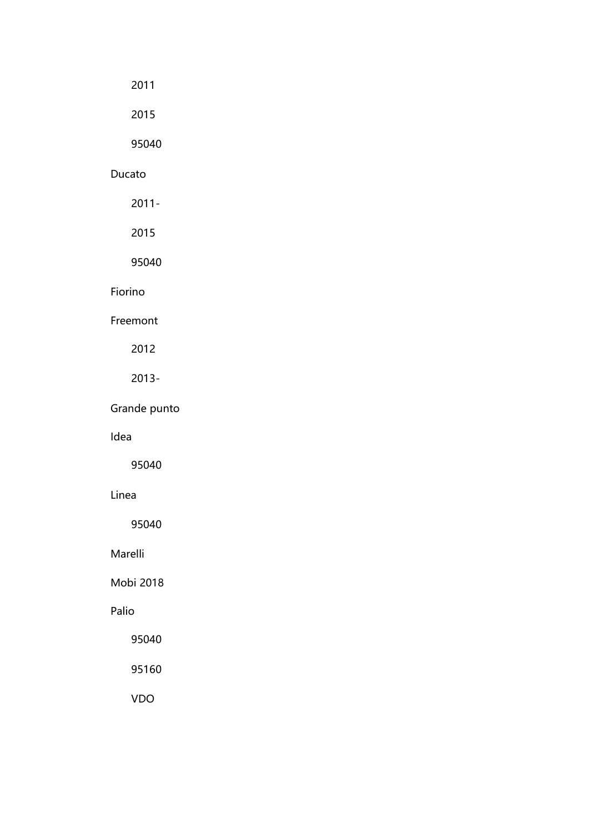# 2011

2015

95040

# Ducato

2011-

2015

95040

# Fiorino

Freemont

2012

# 2013-

Grande punto

# Idea

95040

### Linea

95040

Marelli

Mobi 2018

# Palio

95040

95160

VDO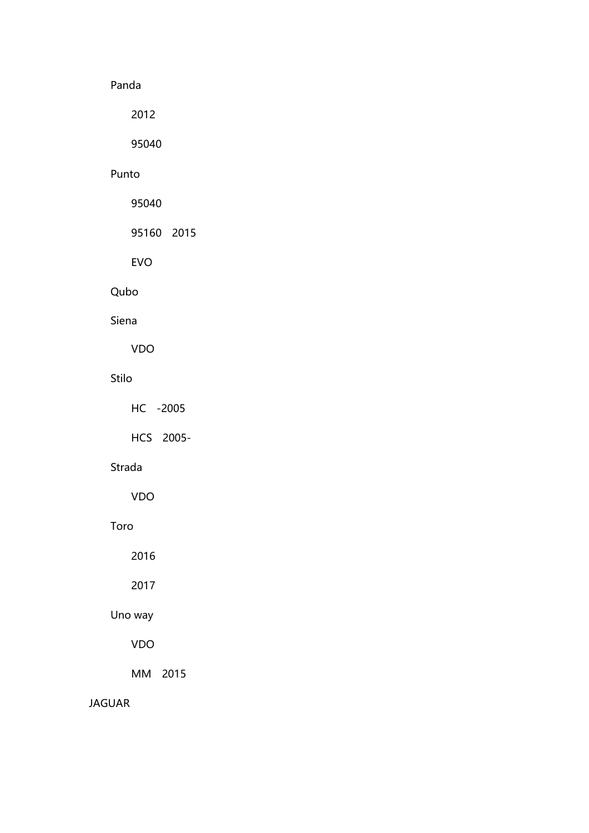# Panda

2012

95040

### Punto

95040

95160 2015

EVO

# Qubo

# Siena

VDO

# Stilo

HC -2005

HCS 2005-

# Strada

VDO

### Toro

2016

2017

# Uno way

# VDO

MM 2015

### JAGUAR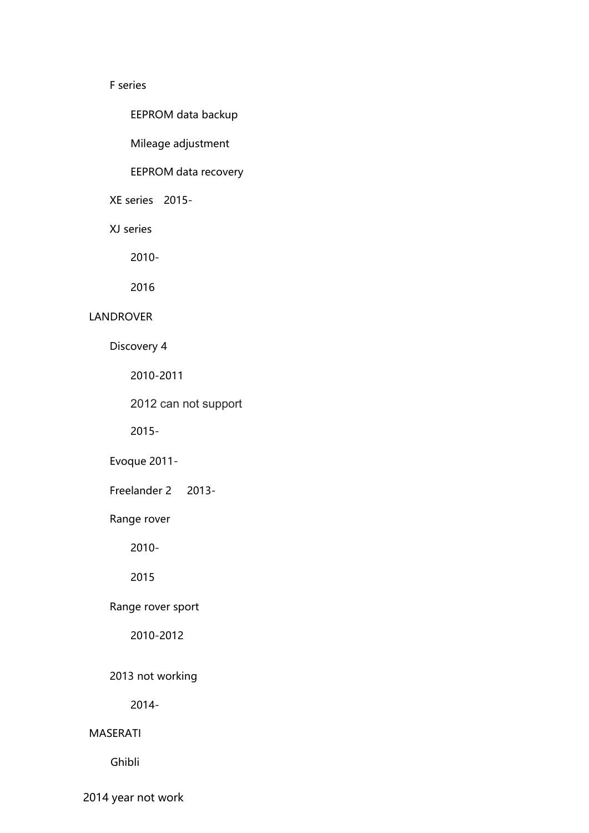### F series

EEPROM data backup

Mileage adjustment

# EEPROM data recovery

XE series 2015-

XJ series

2010-

2016

### LANDROVER

Discovery 4

2010-2011

2012 can not support

2015-

Evoque 2011-

Freelander 2 2013-

Range rover

2010-

2015

# Range rover sport

2010-2012

# 2013 not working

2014-

#### MASERATI

Ghibli

2014 year not work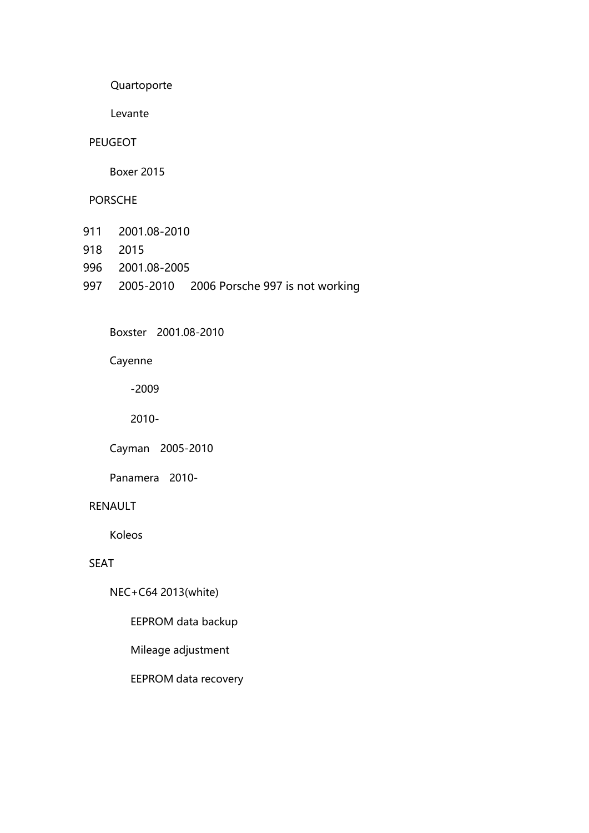Quartoporte

Levante

#### PEUGEOT

Boxer 2015

### PORSCHE

- 911 2001.08-2010
- 918 2015
- 996 2001.08-2005
- 997 2005-2010 2006 Porsche 997 is not working

Boxster 2001.08-2010

Cayenne

-2009

2010-

Cayman 2005-2010

Panamera 2010-

### RENAULT

Koleos

# SEAT

NEC+C64 2013(white)

EEPROM data backup

Mileage adjustment

EEPROM data recovery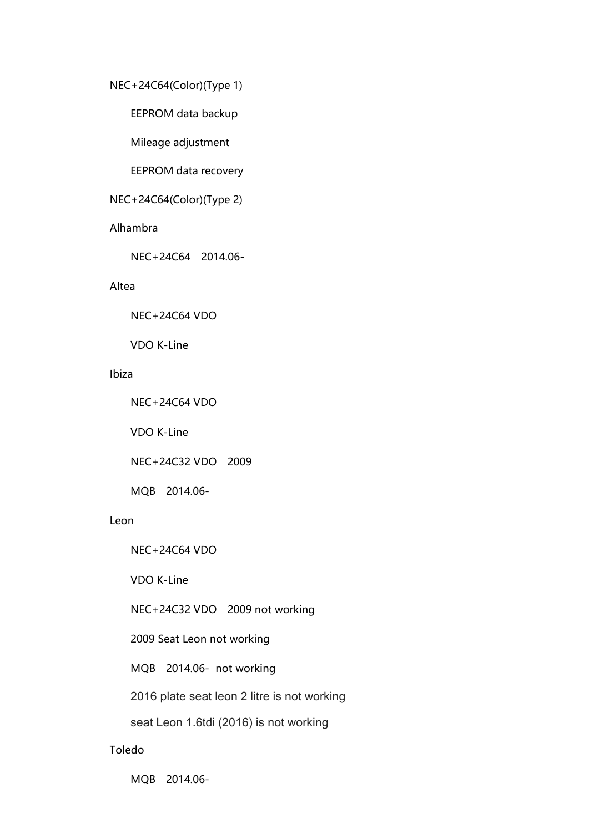#### NEC+24C64(Color)(Type 1)

EEPROM data backup

Mileage adjustment

EEPROM data recovery

# NEC+24C64(Color)(Type 2)

#### Alhambra

NEC+24C64 2014.06-

#### Altea

NEC+24C64 VDO

VDO K-Line

### Ibiza

NEC+24C64 VDO

VDO K-Line

NEC+24C32 VDO 2009

MQB 2014.06-

#### Leon

NEC+24C64 VDO

VDO K-Line

NEC+24C32 VDO 2009 not working

2009 Seat Leon not working

MQB 2014.06- not working

2016 plate seat leon 2 litre is not working

seat Leon 1.6tdi (2016) is not working

#### Toledo

MQB 2014.06-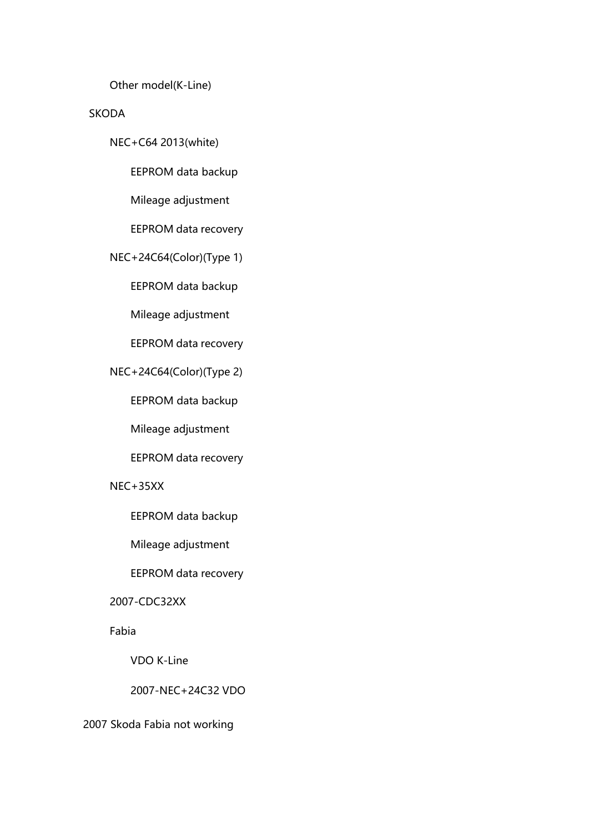Other model(K-Line)

### SKODA

NEC+C64 2013(white)

EEPROM data backup

Mileage adjustment

EEPROM data recovery

NEC+24C64(Color)(Type 1)

EEPROM data backup

Mileage adjustment

EEPROM data recovery

NEC+24C64(Color)(Type 2)

EEPROM data backup

Mileage adjustment

EEPROM data recovery

NEC+35XX

EEPROM data backup

Mileage adjustment

EEPROM data recovery

2007-CDC32XX

Fabia

VDO K-Line

2007-NEC+24C32 VDO

2007 Skoda Fabia not working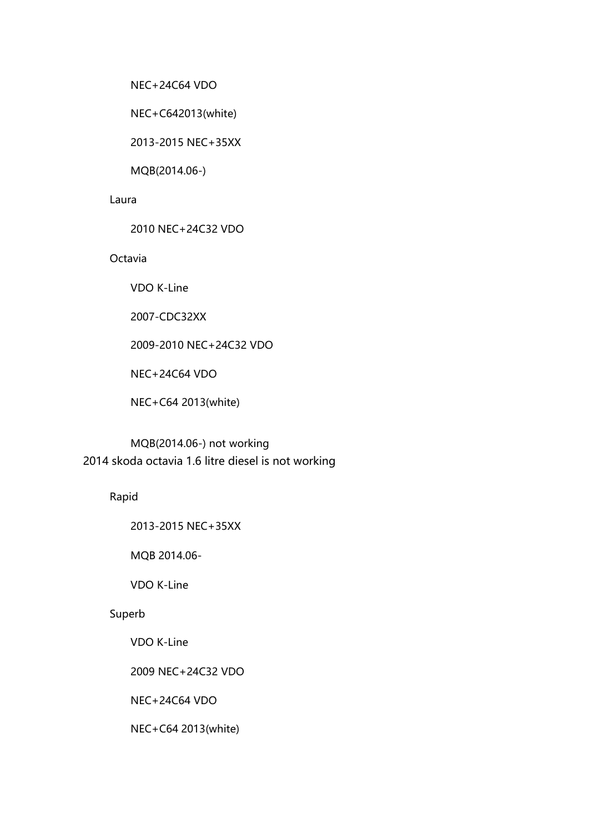NEC+24C64 VDO

NEC+C642013(white)

2013-2015 NEC+35XX

MQB(2014.06-)

#### Laura

2010 NEC+24C32 VDO

### **Octavia**

VDO K-Line

2007-CDC32XX

2009-2010 NEC+24C32 VDO

NEC+24C64 VDO

NEC+C64 2013(white)

MQB(2014.06-) not working 2014 skoda octavia 1.6 litre diesel is not working

Rapid

2013-2015 NEC+35XX

MQB 2014.06-

VDO K-Line

#### Superb

VDO K-Line

2009 NEC+24C32 VDO

NEC+24C64 VDO

NEC+C64 2013(white)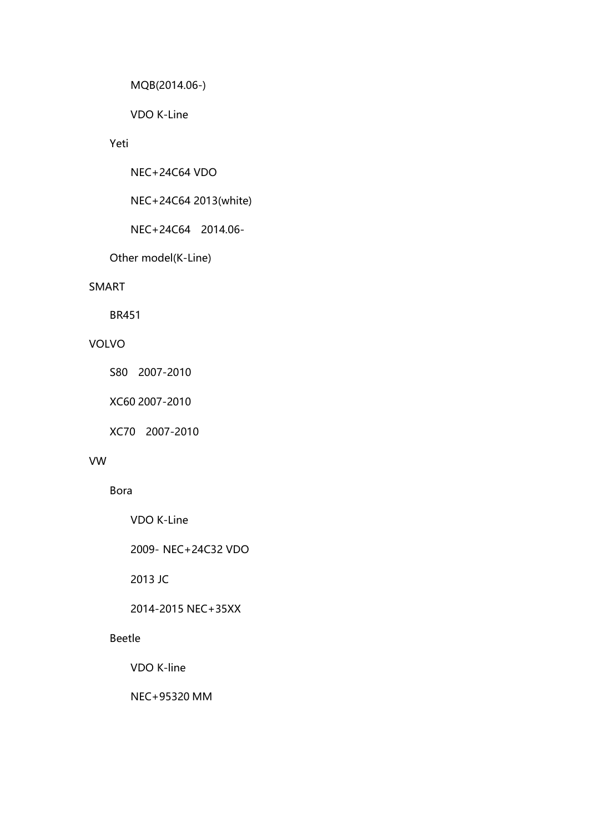```
MQB(2014.06-)
```
VDO K-Line

# Yeti

NEC+24C64 VDO

NEC+24C64 2013(white)

NEC+24C64 2014.06-

Other model(K-Line)

### SMART

BR451

# VOLVO

S80 2007-2010

XC60 2007-2010

XC70 2007-2010

#### VW

Bora

VDO K-Line

2009- NEC+24C32 VDO

2013 JC

2014-2015 NEC+35XX

# Beetle

VDO K-line

NEC+95320 MM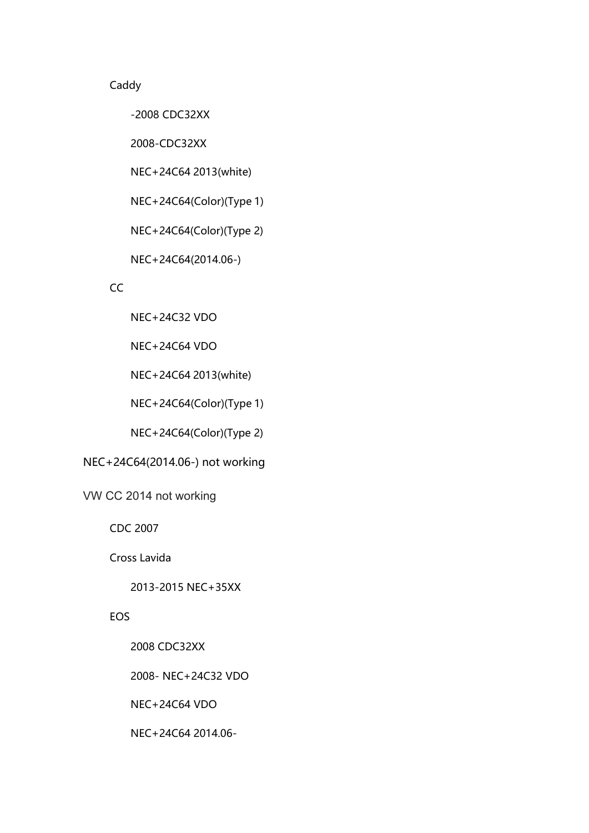# Caddy

-2008 CDC32XX

2008-CDC32XX

NEC+24C64 2013(white)

NEC+24C64(Color)(Type 1)

NEC+24C64(Color)(Type 2)

NEC+24C64(2014.06-)

#### CC<sub>2</sub> and the contract of the contract of the contract of the contract of the contract of the contract of the contract of the contract of the contract of the contract of the contract of the contract of the contract of the

NEC+24C32 VDO

NEC+24C64 VDO

NEC+24C64 2013(white)

NEC+24C64(Color)(Type 1)

NEC+24C64(Color)(Type 2)

# NEC+24C64(2014.06-) not working

VW CC 2014 not working

CDC 2007

Cross Lavida

2013-2015 NEC+35XX

### EOS

2008 CDC32XX

2008- NEC+24C32 VDO

NEC+24C64 VDO

NEC+24C64 2014.06-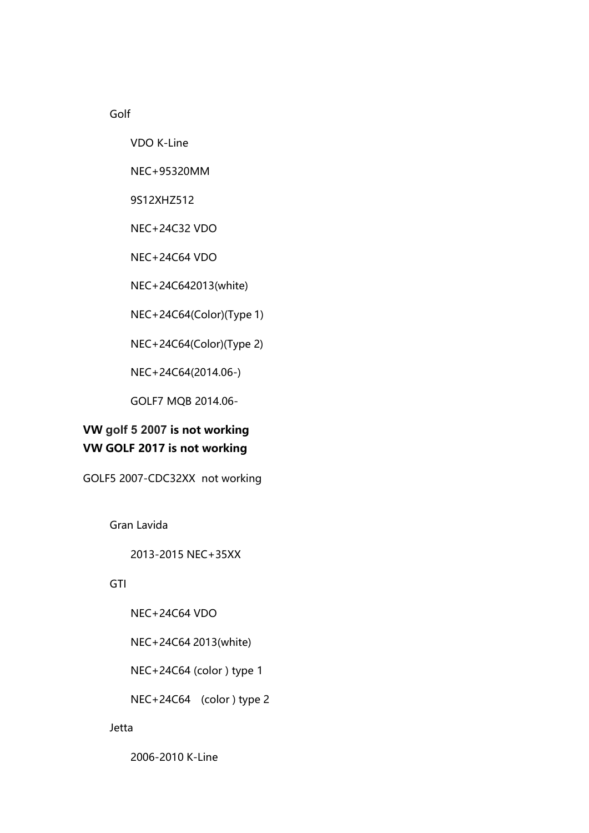Golf

VDO K-Line

NEC+95320MM

9S12XHZ512

NEC+24C32 VDO

NEC+24C64 VDO

NEC+24C642013(white)

NEC+24C64(Color)(Type 1)

NEC+24C64(Color)(Type 2)

NEC+24C64(2014.06-)

GOLF7 MQB 2014.06-

# **VW golf 5 2007 is not working VW GOLF 2017 is not working**

GOLF5 2007-CDC32XX not working

Gran Lavida

2013-2015 NEC+35XX

**GTI** 

NEC+24C64 VDO

NEC+24C64 2013(white)

NEC+24C64 (color ) type 1

NEC+24C64 (color ) type 2

Jetta

2006-2010 K-Line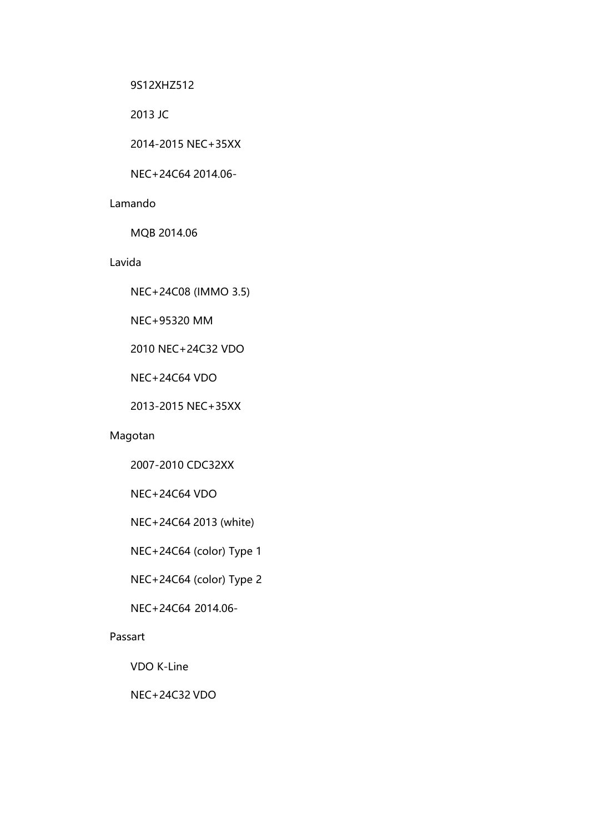9S12XHZ512

2013 JC

2014-2015 NEC+35XX

NEC+24C64 2014.06-

#### Lamando

MQB 2014.06

#### Lavida

NEC+24C08 (IMMO 3.5)

NEC+95320 MM

2010 NEC+24C32 VDO

NEC+24C64 VDO

2013-2015 NEC+35XX

# Magotan

2007-2010 CDC32XX

NEC+24C64 VDO

NEC+24C64 2013 (white)

NEC+24C64 (color) Type 1

NEC+24C64 (color) Type 2

NEC+24C64 2014.06-

#### Passart

VDO K-Line

NEC+24C32 VDO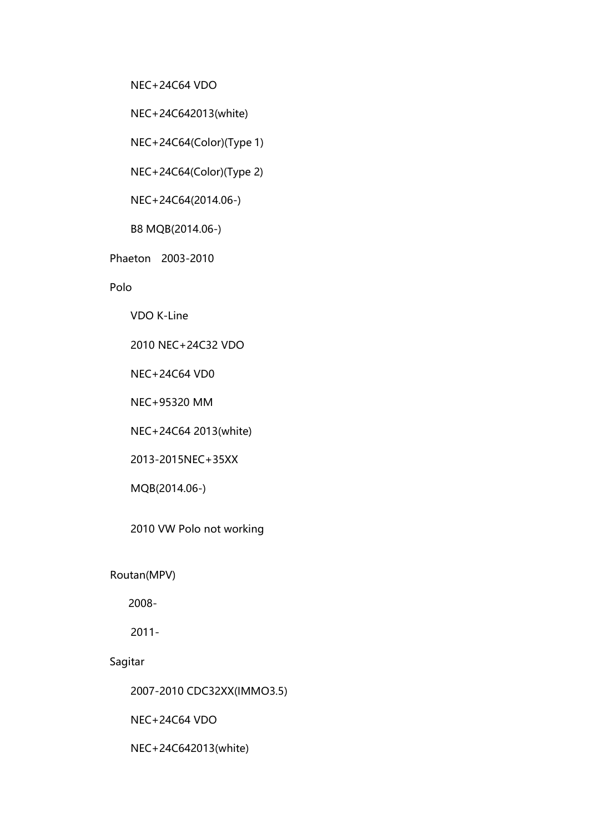NEC+24C64 VDO

NEC+24C642013(white)

NEC+24C64(Color)(Type 1)

NEC+24C64(Color)(Type 2)

NEC+24C64(2014.06-)

B8 MQB(2014.06-)

Phaeton 2003-2010

Polo

VDO K-Line

2010 NEC+24C32 VDO

NEC+24C64 VD0

NEC+95320 MM

NEC+24C64 2013(white)

2013-2015NEC+35XX

MQB(2014.06-)

2010 VW Polo not working

Routan(MPV)

2008-

2011-

Sagitar

2007-2010 CDC32XX(IMMO3.5)

NEC+24C64 VDO

NEC+24C642013(white)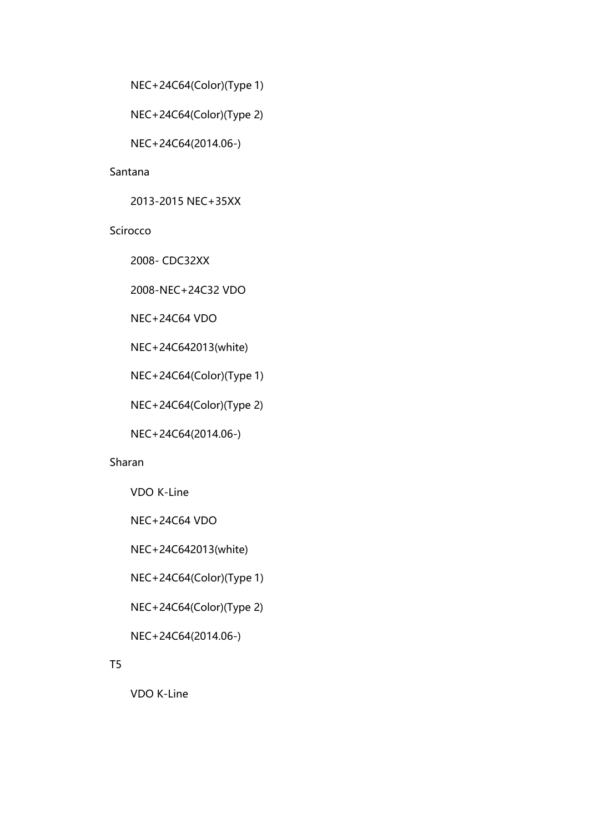```
NEC+24C64(Color)(Type 1)
```

```
NEC+24C64(Color)(Type 2)
```
NEC+24C64(2014.06-)

### Santana

2013-2015 NEC+35XX

# Scirocco

2008- CDC32XX

2008-NEC+24C32 VDO

NEC+24C64 VDO

NEC+24C642013(white)

NEC+24C64(Color)(Type 1)

NEC+24C64(Color)(Type 2)

NEC+24C64(2014.06-)

### Sharan

VDO K-Line

NEC+24C64 VDO

NEC+24C642013(white)

NEC+24C64(Color)(Type 1)

NEC+24C64(Color)(Type 2)

NEC+24C64(2014.06-)

# T5 and the contract of the contract of the contract of the contract of the contract of the contract of the contract of the contract of the contract of the contract of the contract of the contract of the contract of the con

VDO K-Line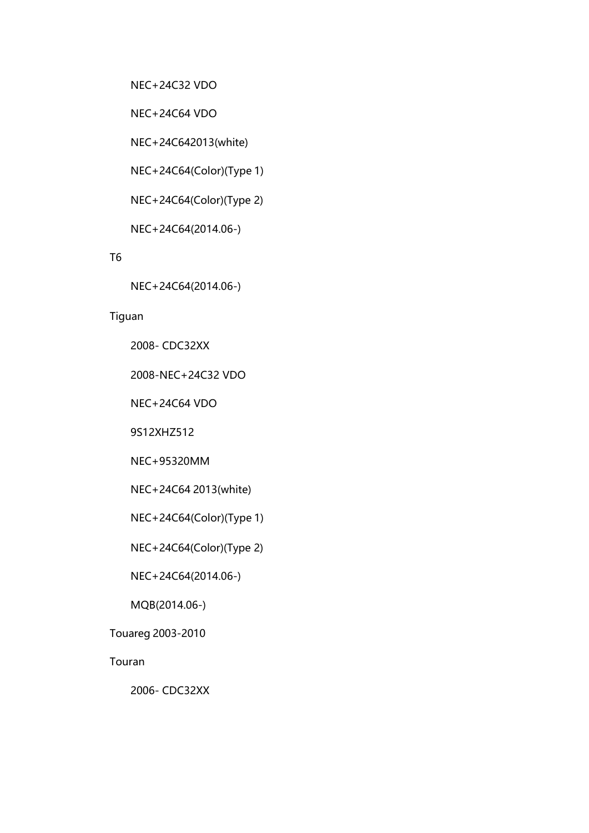NEC+24C32 VDO

NEC+24C64 VDO

NEC+24C642013(white)

NEC+24C64(Color)(Type 1)

NEC+24C64(Color)(Type 2)

NEC+24C64(2014.06-)

T6 and the contract of the contract of the contract of the contract of the contract of the contract of the contract of the contract of the contract of the contract of the contract of the contract of the contract of the con

NEC+24C64(2014.06-)

# Tiguan

2008- CDC32XX

2008-NEC+24C32 VDO

NEC+24C64 VDO

9S12XHZ512

NEC+95320MM

NEC+24C64 2013(white)

NEC+24C64(Color)(Type 1)

NEC+24C64(Color)(Type 2)

NEC+24C64(2014.06-)

MQB(2014.06-)

Touareg 2003-2010

Touran

2006- CDC32XX